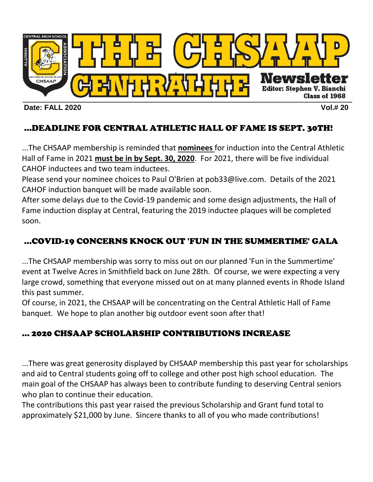

#### **Date: FALL 2020 Vol.# 20**

# …DEADLINE FOR CENTRAL ATHLETIC HALL OF FAME IS SEPT. 30TH!

...The CHSAAP membership is reminded that **nominees** for induction into the Central Athletic Hall of Fame in 2021 **must be in by Sept. 30, 2020**. For 2021, there will be five individual CAHOF inductees and two team inductees.

Please send your nominee choices to Paul O'Brien at pob33@live.com. Details of the 2021 CAHOF induction banquet will be made available soon.

After some delays due to the Covid-19 pandemic and some design adjustments, the Hall of Fame induction display at Central, featuring the 2019 inductee plaques will be completed soon.

#### …COVID-19 CONCERNS KNOCK OUT 'FUN IN THE SUMMERTIME' GALA

...The CHSAAP membership was sorry to miss out on our planned 'Fun in the Summertime' event at Twelve Acres in Smithfield back on June 28th. Of course, we were expecting a very large crowd, something that everyone missed out on at many planned events in Rhode Island this past summer.

Of course, in 2021, the CHSAAP will be concentrating on the Central Athletic Hall of Fame banquet. We hope to plan another big outdoor event soon after that!

## … 2020 CHSAAP SCHOLARSHIP CONTRIBUTIONS INCREASE

...There was great generosity displayed by CHSAAP membership this past year for scholarships and aid to Central students going off to college and other post high school education. The main goal of the CHSAAP has always been to contribute funding to deserving Central seniors who plan to continue their education.

The contributions this past year raised the previous Scholarship and Grant fund total to approximately \$21,000 by June. Sincere thanks to all of you who made contributions!